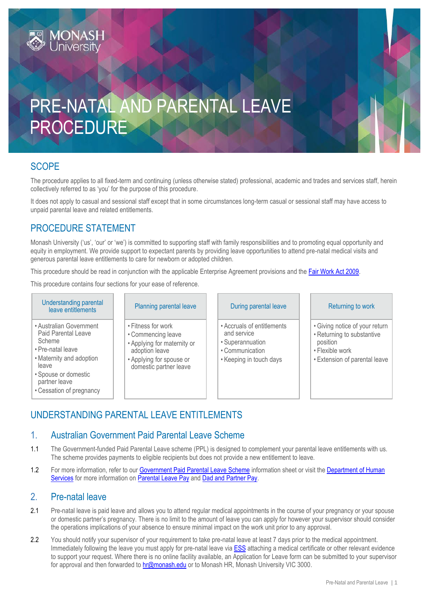# PRE-NATAL AND PARENTAL LEAVE PROCEDURE

# **SCOPE**

The procedure applies to all fixed-term and continuing (unless otherwise stated) professional, academic and trades and services staff, herein collectively referred to as 'you' for the purpose of this procedure.

It does not apply to casual and sessional staff except that in some circumstances long-term casual or sessional staff may have access to unpaid parental leave and related entitlements.

# PROCEDURE STATEMENT

Monash University ('us', 'our' or 'we') is committed to supporting staff with family responsibilities and to promoting equal opportunity and equity in employment. We provide support to expectant parents by providing leave opportunities to attend pre-natal medical visits and generous parental leave entitlements to care for newborn or adopted children.

This procedure should be read in conjunction with the applicable Enterprise Agreement provisions and the [Fair Work Act 2009.](http://www.austlii.edu.au/au/legis/cth/consol_act/fwa2009114)

This procedure contains four sections for your ease of reference.

| Understanding parental<br>leave entitlements                                                                                                                                            | Planning parental leave                                                                                                                         | During parental leave                                                                                       | Returning to work                                                                                                            |
|-----------------------------------------------------------------------------------------------------------------------------------------------------------------------------------------|-------------------------------------------------------------------------------------------------------------------------------------------------|-------------------------------------------------------------------------------------------------------------|------------------------------------------------------------------------------------------------------------------------------|
| • Australian Government<br>Paid Parental Leave<br>Scheme<br>• Pre-natal leave<br>• Maternity and adoption<br>leave<br>• Spouse or domestic<br>partner leave<br>• Cessation of pregnancy | • Fitness for work<br>• Commencing leave<br>• Applying for maternity or<br>adoption leave<br>• Applying for spouse or<br>domestic partner leave | • Accruals of entitlements<br>and service<br>• Superannuation<br>• Communication<br>• Keeping in touch days | • Giving notice of your return<br>• Returning to substantive<br>position<br>• Flexible work<br>• Extension of parental leave |

# UNDERSTANDING PARENTAL LEAVE ENTITLEMENTS

#### 1. Australian Government Paid Parental Leave Scheme

- 1.1 The Government-funded Paid Parental Leave scheme (PPL) is designed to complement your parental leave entitlements with us. The scheme provides payments to eligible recipients but does not provide a new entitlement to leave.
- 1.2 For more information, refer to our Government [Paid Parental Leave Scheme](https://www.monash.edu/__data/assets/pdf_file/0010/1319383/Paid-Parental-Leave-Guideline.pdf) information sheet or visit the Department of Human [Services](https://www.humanservices.gov.au/individuals/families) for more information o[n Parental Leave Pay](https://www.humanservices.gov.au/individuals/services/centrelink/parental-leave-pay) an[d Dad and Partner Pay.](https://www.humanservices.gov.au/individuals/services/centrelink/dad-and-partner-pay)

### 2. Pre-natal leave

- 2.1 Pre-natal leave is paid leave and allows you to attend regular medical appointments in the course of your pregnancy or your spouse or domestic partner's pregnancy. There is no limit to the amount of leave you can apply for however your supervisor should consider the operations implications of your absence to ensure minimal impact on the work unit prior to any approval.
- 2.2 You should notify your supervisor of your requirement to take pre-natal leave at least 7 days prior to the medical appointment. Immediately following the leave you must apply for pre-natal leave vi[a ESS](http://www.adm.monash.edu.au/sss/ess/) attaching a medical certificate or other relevant evidence to support your request. Where there is no online facility available, an Application for Leave form can be submitted to your supervisor for approval and then forwarded t[o hr@monash.edu](mailto:hr@monash.edu) or to Monash HR, Monash University VIC 3000.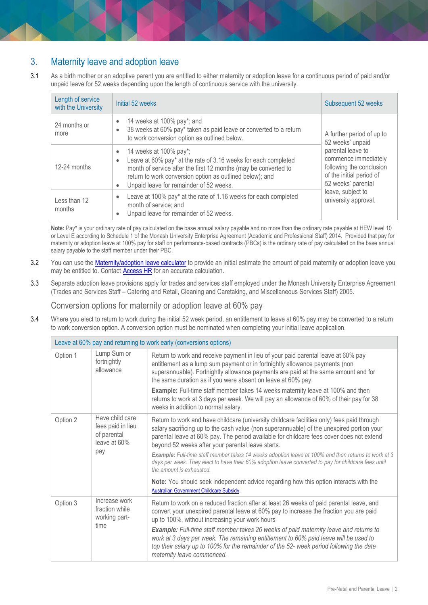# 3. Maternity leave and adoption leave

3.1 As a birth mother or an adoptive parent you are entitled to either maternity or adoption leave for a continuous period of paid and/or unpaid leave for 52 weeks depending upon the length of continuous service with the university.

| Length of service<br>with the University | Initial 52 weeks                                                                                                                                                                                                                                                                                          | Subsequent 52 weeks                                                                                                     |
|------------------------------------------|-----------------------------------------------------------------------------------------------------------------------------------------------------------------------------------------------------------------------------------------------------------------------------------------------------------|-------------------------------------------------------------------------------------------------------------------------|
| 24 months or<br>more                     | 14 weeks at 100% pay*; and<br>$\bullet$<br>38 weeks at 60% pay* taken as paid leave or converted to a return<br>$\bullet$<br>to work conversion option as outlined below.                                                                                                                                 | A further period of up to<br>52 weeks' unpaid                                                                           |
| 12-24 months                             | 14 weeks at 100% pay*;<br>$\bullet$<br>Leave at 60% pay* at the rate of 3.16 weeks for each completed<br>$\bullet$<br>month of service after the first 12 months (may be converted to<br>return to work conversion option as outlined below); and<br>Unpaid leave for remainder of 52 weeks.<br>$\bullet$ | parental leave to<br>commence immediately<br>following the conclusion<br>of the initial period of<br>52 weeks' parental |
| Less than 12<br>months                   | Leave at 100% pay* at the rate of 1.16 weeks for each completed<br>$\bullet$<br>month of service; and<br>Unpaid leave for remainder of 52 weeks.<br>$\bullet$                                                                                                                                             | leave, subject to<br>university approval.                                                                               |

Note: Pay\* is your ordinary rate of pay calculated on the base annual salary payable and no more than the ordinary rate payable at HEW level 10 or Level E according to Schedule 1 of the Monash University Enterprise Agreement (Academic and Professional Staff) 2014. Provided that pay for maternity or adoption leave at 100% pay for staff on performance-based contracts (PBCs) is the ordinary rate of pay calculated on the base annual salary payable to the staff member under their PBC.

- 3.2 You can use the **Maternity/adoption leave calculator** to provide an initial estimate the amount of paid maternity or adoption leave you may be entitled to. Contact [Access HR](http://www.adm.monash.edu.au/human-resources/contact/) for an accurate calculation.
- 3.3 Separate adoption leave provisions apply for trades and services staff employed under the Monash University Enterprise Agreement (Trades and Services Staff – Catering and Retail, Cleaning and Caretaking, and Miscellaneous Services Staff) 2005.

Conversion options for maternity or adoption leave at 60% pay

3.4 Where you elect to return to work during the initial 52 week period, an entitlement to leave at 60% pay may be converted to a return to work conversion option. A conversion option must be nominated when completing your initial leave application.

| Leave at 60% pay and returning to work early (conversions options) |                                                                                                                                                                                                                                         |                                                                                                                                                                                                                                                                                                                                          |
|--------------------------------------------------------------------|-----------------------------------------------------------------------------------------------------------------------------------------------------------------------------------------------------------------------------------------|------------------------------------------------------------------------------------------------------------------------------------------------------------------------------------------------------------------------------------------------------------------------------------------------------------------------------------------|
| Option 1                                                           | Lump Sum or<br>fortnightly<br>allowance                                                                                                                                                                                                 | Return to work and receive payment in lieu of your paid parental leave at 60% pay<br>entitlement as a lump sum payment or in fortnightly allowance payments (non<br>superannuable). Fortnightly allowance payments are paid at the same amount and for<br>the same duration as if you were absent on leave at 60% pay.                   |
|                                                                    |                                                                                                                                                                                                                                         | <b>Example:</b> Full-time staff member takes 14 weeks maternity leave at 100% and then<br>returns to work at 3 days per week. We will pay an allowance of 60% of their pay for 38<br>weeks in addition to normal salary.                                                                                                                 |
| Option 2                                                           | Have child care<br>fees paid in lieu<br>of parental<br>leave at 60%                                                                                                                                                                     | Return to work and have childcare (university childcare facilities only) fees paid through<br>salary sacrificing up to the cash value (non superannuable) of the unexpired portion your<br>parental leave at 60% pay. The period available for childcare fees cover does not extend<br>beyond 52 weeks after your parental leave starts. |
| pay                                                                | Example: Full-time staff member takes 14 weeks adoption leave at 100% and then returns to work at 3<br>days per week. They elect to have their 60% adoption leave converted to pay for childcare fees until<br>the amount is exhausted. |                                                                                                                                                                                                                                                                                                                                          |
|                                                                    |                                                                                                                                                                                                                                         | Note: You should seek independent advice regarding how this option interacts with the<br><b>Australian Government Childcare Subsidy.</b>                                                                                                                                                                                                 |
| Option 3                                                           | Increase work<br>fraction while<br>working part-                                                                                                                                                                                        | Return to work on a reduced fraction after at least 26 weeks of paid parental leave, and<br>convert your unexpired parental leave at 60% pay to increase the fraction you are paid<br>up to 100%, without increasing your work hours                                                                                                     |
|                                                                    | time                                                                                                                                                                                                                                    | <b>Example:</b> Full-time staff member takes 26 weeks of paid maternity leave and returns to<br>work at 3 days per week. The remaining entitlement to 60% paid leave will be used to<br>top their salary up to 100% for the remainder of the 52- week period following the date<br>maternity leave commenced.                            |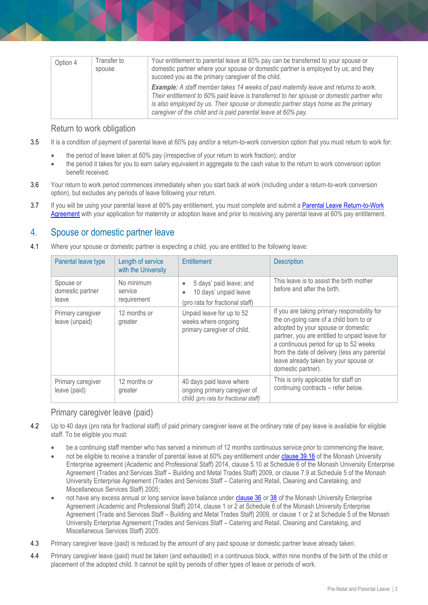| Transfer to<br>Option 4<br>spouse |  | Your entitlement to parental leave at 60% pay can be transferred to your spouse or<br>domestic partner where your spouse or domestic partner is employed by us; and they<br>succeed you as the primary caregiver of the child.                                                                                                                |
|-----------------------------------|--|-----------------------------------------------------------------------------------------------------------------------------------------------------------------------------------------------------------------------------------------------------------------------------------------------------------------------------------------------|
|                                   |  | <b>Example:</b> A staff member takes 14 weeks of paid maternity leave and returns to work.<br>Their entitlement to 60% paid leave is transferred to her spouse or domestic partner who<br>is also employed by us. Their spouse or domestic partner stays home as the primary<br>caregiver of the child and is paid parental leave at 60% pay. |

#### Return to work obligation

- 3.5 It is a condition of payment of parental leave at 60% pay and/or a return-to-work conversion option that you must return to work for:
	- the period of leave taken at 60% pay (irrespective of your return to work fraction); and/or
	- the period it takes for you to earn salary equivalent in aggregate to the cash value to the return to work conversion option benefit received.
- 3.6 Your return to work period commences immediately when you start back at work (including under a return-to-work conversion option), but excludes any periods of leave following your return.
- 3.7 If you will be using your parental leave at 60% pay entitlement, you must complete and submit a Parental Leave Return-to-Work [Agreement](http://www.intranet.monash/hr/assets/docs/tools-and-resources/forms/pdf/leave-parental-return-to-work-agreement.pdf) with your application for maternity or adoption leave and prior to receiving any parental leave at 60% pay entitlement.

## 4. Spouse or domestic partner leave

4.1 Where your spouse or domestic partner is expecting a child, you are entitled to the following leave:

| Parental leave type                    | Length of service<br>with the University | <b>Entitlement</b>                                                                                            | <b>Description</b>                                                                                                                                                                                                                                                                                                                      |
|----------------------------------------|------------------------------------------|---------------------------------------------------------------------------------------------------------------|-----------------------------------------------------------------------------------------------------------------------------------------------------------------------------------------------------------------------------------------------------------------------------------------------------------------------------------------|
| Spouse or<br>domestic partner<br>leave | No minimum<br>service<br>requirement     | 5 days' paid leave; and<br>$\bullet$<br>10 days' unpaid leave<br>$\bullet$<br>(pro rata for fractional staff) | This leave is to assist the birth mother<br>before and after the birth.                                                                                                                                                                                                                                                                 |
| Primary caregiver<br>leave (unpaid)    | 12 months or<br>greater                  | Unpaid leave for up to 52<br>weeks where ongoing<br>primary caregiver of child.                               | If you are taking primary responsibility for<br>the on-going care of a child born to or<br>adopted by your spouse or domestic<br>partner, you are entitled to unpaid leave for<br>a continuous period for up to 52 weeks<br>from the date of delivery (less any parental<br>leave already taken by your spouse or<br>domestic partner). |
| Primary caregiver<br>leave (paid)      | 12 months or<br>greater                  | 40 days paid leave where<br>ongoing primary caregiver of<br>child (pro rata for fractional staff)             | This is only applicable for staff on<br>continuing contracts – refer below.                                                                                                                                                                                                                                                             |

#### Primary caregiver leave (paid)

- 4.2 Up to 40 days (pro rata for fractional staff) of paid primary caregiver leave at the ordinary rate of pay leave is available for eligible staff. To be eligible you must:
	- be a continuing staff member who has served a minimum of 12 months continuous service prior to commencing the leave;
	- not be eligible to receive a transfer of parental leave at 60% pay entitlement unde[r clause 39.16](https://www.monash.edu/current-enterprise-agreements/academic-professional-2014/39) of the Monash University Enterprise agreement (Academic and Professional Staff) 2014, clause 5.10 at Schedule 6 of the Monash University Enterprise Agreement (Trades and Services Staff – Building and Metal Trades Staff) 2009, or clause 7.9 at Schedule 5 of the Monash University Enterprise Agreement (Trades and Services Staff – Catering and Retail, Cleaning and Caretaking, and Miscellaneous Services Staff) 2005;
	- not have any excess annual or long service leave balance under [clause 36](https://www.monash.edu/current-enterprise-agreements/academic-professional-2014/36) or [38](https://www.monash.edu/current-enterprise-agreements/academic-professional-2014/38) of the Monash University Enterprise Agreement (Academic and Professional Staff) 2014, clause 1 or 2 at Schedule 6 of the Monash University Enterprise Agreement (Trade and Services Staff – Building and Metal Trades Staff) 2009, or clause 1 or 2 at Schedule 5 of the Monash University Enterprise Agreement (Trades and Services Staff – Catering and Retail, Cleaning and Caretaking, and Miscellaneous Services Staff) 2005.
- 4.3 Primary caregiver leave (paid) is reduced by the amount of any paid spouse or domestic partner leave already taken.
- 4.4 Primary caregiver leave (paid) must be taken (and exhausted) in a continuous block, within nine months of the birth of the child or placement of the adopted child. It cannot be split by periods of other types of leave or periods of work.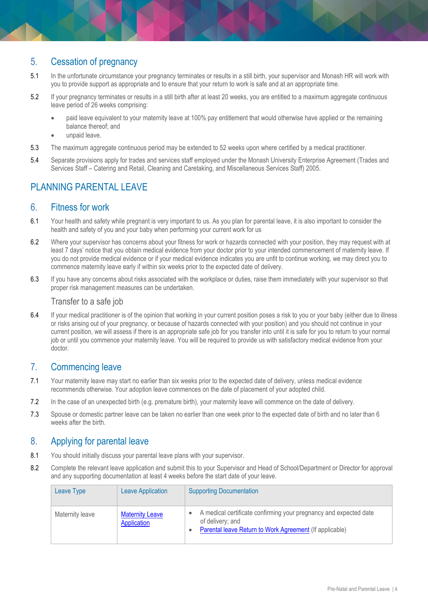# 5. Cessation of pregnancy

- 5.1 In the unfortunate circumstance your pregnancy terminates or results in a still birth, your supervisor and Monash HR will work with you to provide support as appropriate and to ensure that your return to work is safe and at an appropriate time.
- 5.2 If your pregnancy terminates or results in a still birth after at least 20 weeks, you are entitled to a maximum aggregate continuous leave period of 26 weeks comprising:
	- paid leave equivalent to your maternity leave at 100% pay entitlement that would otherwise have applied or the remaining balance thereof; and
	- unpaid leave.
- 5.3 The maximum aggregate continuous period may be extended to 52 weeks upon where certified by a medical practitioner.
- 5.4 Separate provisions apply for trades and services staff employed under the Monash University Enterprise Agreement (Trades and Services Staff – Catering and Retail, Cleaning and Caretaking, and Miscellaneous Services Staff) 2005.

# PI ANNING PARFNTAL LEAVE

#### 6. Fitness for work

- 6.1 Your health and safety while pregnant is very important to us. As you plan for parental leave, it is also important to consider the health and safety of you and your baby when performing your current work for us
- 6.2 Where your supervisor has concerns about your fitness for work or hazards connected with your position, they may request with at least 7 days' notice that you obtain medical evidence from your doctor prior to your intended commencement of maternity leave. If you do not provide medical evidence or if your medical evidence indicates you are unfit to continue working, we may direct you to commence maternity leave early if within six weeks prior to the expected date of delivery.
- 6.3 If you have any concerns about risks associated with the workplace or duties, raise them immediately with your supervisor so that proper risk management measures can be undertaken.

#### Transfer to a safe job

6.4 If your medical practitioner is of the opinion that working in your current position poses a risk to you or your baby (either due to illness or risks arising out of your pregnancy, or because of hazards connected with your position) and you should not continue in your current position, we will assess if there is an appropriate safe job for you transfer into until it is safe for you to return to your normal job or until you commence your maternity leave. You will be required to provide us with satisfactory medical evidence from your doctor.

### 7. Commencing leave

- 7.1 Your maternity leave may start no earlier than six weeks prior to the expected date of delivery, unless medical evidence recommends otherwise. Your adoption leave commences on the date of placement of your adopted child.
- 7.2 In the case of an unexpected birth (e.g. premature birth), your maternity leave will commence on the date of delivery.
- 7.3 Spouse or domestic partner leave can be taken no earlier than one week prior to the expected date of birth and no later than 6 weeks after the birth.

### 8. Applying for parental leave

- 8.1 You should initially discuss your parental leave plans with your supervisor.
- 8.2 Complete the relevant leave application and submit this to your Supervisor and Head of School/Department or Director for approval and any supporting documentation at least 4 weeks before the start date of your leave.

| Leave Type      | <b>Leave Application</b>              | <b>Supporting Documentation</b>                                                                                                                  |
|-----------------|---------------------------------------|--------------------------------------------------------------------------------------------------------------------------------------------------|
| Maternity leave | <b>Maternity Leave</b><br>Application | A medical certificate confirming your pregnancy and expected date<br>of delivery; and<br>Parental leave Return to Work Agreement (If applicable) |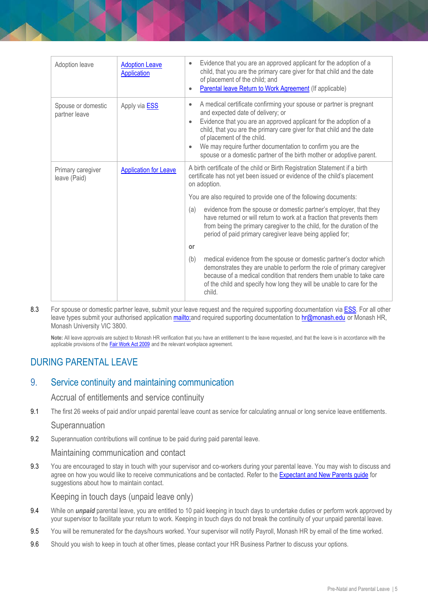| Adoption leave                      | <b>Adoption Leave</b><br>Application | Evidence that you are an approved applicant for the adoption of a<br>$\bullet$<br>child, that you are the primary care giver for that child and the date<br>of placement of the child; and<br>Parental leave Return to Work Agreement (If applicable)                                                                                                                                                                                     |
|-------------------------------------|--------------------------------------|-------------------------------------------------------------------------------------------------------------------------------------------------------------------------------------------------------------------------------------------------------------------------------------------------------------------------------------------------------------------------------------------------------------------------------------------|
| Spouse or domestic<br>partner leave | Apply via <b>ESS</b>                 | A medical certificate confirming your spouse or partner is pregnant<br>$\bullet$<br>and expected date of delivery; or<br>Evidence that you are an approved applicant for the adoption of a<br>child, that you are the primary care giver for that child and the date<br>of placement of the child.<br>We may require further documentation to confirm you are the<br>spouse or a domestic partner of the birth mother or adoptive parent. |
| Primary caregiver<br>leave (Paid)   | <b>Application for Leave</b>         | A birth certificate of the child or Birth Registration Statement if a birth<br>certificate has not yet been issued or evidence of the child's placement<br>on adoption.                                                                                                                                                                                                                                                                   |
|                                     |                                      | You are also required to provide one of the following documents:                                                                                                                                                                                                                                                                                                                                                                          |
|                                     |                                      | evidence from the spouse or domestic partner's employer, that they<br>(a)<br>have returned or will return to work at a fraction that prevents them<br>from being the primary caregiver to the child, for the duration of the<br>period of paid primary caregiver leave being applied for;                                                                                                                                                 |
|                                     |                                      | or                                                                                                                                                                                                                                                                                                                                                                                                                                        |
|                                     |                                      | medical evidence from the spouse or domestic partner's doctor which<br>(b)<br>demonstrates they are unable to perform the role of primary caregiver<br>because of a medical condition that renders them unable to take care<br>of the child and specify how long they will be unable to care for the<br>child.                                                                                                                            |

8.3 For spouse or domestic partner leave, submit your leave request and the required supporting documentation via [ESS.](http://www.adm.monash.edu.au/sss/ess/) For all other leave types submit your authorised applicatio[n mailto:a](mailto:)nd required supporting documentation to [hr@monash.edu](mailto:hr@monash.edu) or Monash HR, Monash University VIC 3800.

**Note:** All leave approvals are subject to Monash HR verification that you have an entitlement to the leave requested, and that the leave is in accordance with the applicable provisions of the **[Fair Work Act 2009](http://www.austlii.edu.au/au/legis/cth/consol_act/fwa2009114/)** and the relevant workplace agreement.

# DURING PARENTAL LEAVE

### 9. Service continuity and maintaining communication

#### Accrual of entitlements and service continuity

9.1 The first 26 weeks of paid and/or unpaid parental leave count as service for calculating annual or long service leave entitlements.

#### **Superannuation**

9.2 Superannuation contributions will continue to be paid during paid parental leave.

#### Maintaining communication and contact

9.3 You are encouraged to stay in touch with your supervisor and co-workers during your parental leave. You may wish to discuss and agree on how you would like to receive communications and be contacted. Refer to th[e Expectant and New Parents guide](https://www.monash.edu/__data/assets/pdf_file/0004/2476615/2021ParentsGuide.pdf) for suggestions about how to maintain contact.

#### Keeping in touch days (unpaid leave only)

- 9.4 While on *unpaid* parental leave, you are entitled to 10 paid keeping in touch days to undertake duties or perform work approved by your supervisor to facilitate your return to work. Keeping in touch days do not break the continuity of your unpaid parental leave.
- 9.5 You will be remunerated for the days/hours worked. Your supervisor will notify Payroll, Monash HR by email of the time worked.
- 9.6 Should you wish to keep in touch at other times, please contact your HR Business Partner to discuss your options.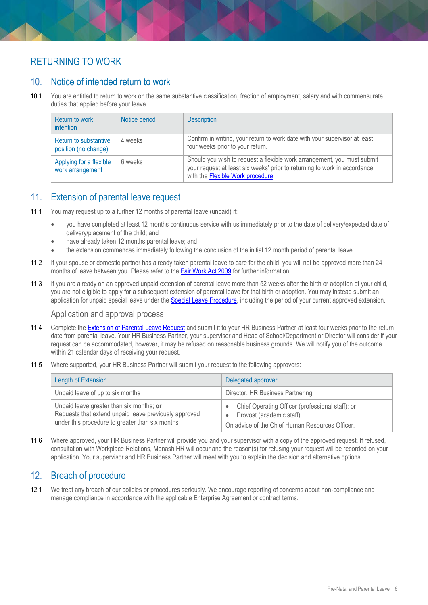# RETURNING TO WORK

# 10. Notice of intended return to work

10.1 You are entitled to return to work on the same substantive classification, fraction of employment, salary and with commensurate duties that applied before your leave.

| <b>Return to work</b><br>intention            | Notice period | <b>Description</b>                                                                                                                                                                        |
|-----------------------------------------------|---------------|-------------------------------------------------------------------------------------------------------------------------------------------------------------------------------------------|
| Return to substantive<br>position (no change) | 4 weeks       | Confirm in writing, your return to work date with your supervisor at least<br>four weeks prior to your return.                                                                            |
| Applying for a flexible<br>work arrangement   | 6 weeks       | Should you wish to request a flexible work arrangement, you must submit<br>your request at least six weeks' prior to returning to work in accordance<br>with the Flexible Work procedure. |

### 11. Extension of parental leave request

- 11.1 You may request up to a further 12 months of parental leave (unpaid) if:
	- you have completed at least 12 months continuous service with us immediately prior to the date of delivery/expected date of delivery/placement of the child; and
	- have already taken 12 months parental leave; and
	- the extension commences immediately following the conclusion of the initial 12 month period of parental leave.
- 11.2 If your spouse or domestic partner has already taken parental leave to care for the child, you will not be approved more than 24 months of leave between you. Please refer to the **Fair Work Act 2009** for further information.
- 11.3 If you are already on an approved unpaid extension of parental leave more than 52 weeks after the birth or adoption of your child, you are not eligible to apply for a subsequent extension of parental leave for that birth or adoption. You may instead submit an application for unpaid special leave under the [Special Leave Procedure,](https://publicpolicydms.monash.edu/Monash/documents/1935720) including the period of your current approved extension.

#### Application and approval process

- 11.4 Complete the [Extension of Parental Leave Request](http://www.intranet.monash/hr/assets/docs/tools-and-resources/forms/pdf/Extension-of-Parental-Leave-Request.pdf) and submit it to your HR Business Partner at least four weeks prior to the return date from parental leave. Your HR Business Partner, your supervisor and Head of School/Department or Director will consider if your request can be accommodated, however, it may be refused on reasonable business grounds. We will notify you of the outcome within 21 calendar days of receiving your request.
- 11.5 Where supported, your HR Business Partner will submit your request to the following approvers:

| Length of Extension                                                                                                                                  | Delegated approver                                                                                                                |
|------------------------------------------------------------------------------------------------------------------------------------------------------|-----------------------------------------------------------------------------------------------------------------------------------|
| Unpaid leave of up to six months                                                                                                                     | Director, HR Business Partnering                                                                                                  |
| Unpaid leave greater than six months; or<br>Requests that extend unpaid leave previously approved<br>under this procedure to greater than six months | Chief Operating Officer (professional staff); or<br>• Provost (academic staff)<br>On advice of the Chief Human Resources Officer. |

11.6 Where approved, your HR Business Partner will provide you and your supervisor with a copy of the approved request. If refused, consultation with Workplace Relations, Monash HR will occur and the reason(s) for refusing your request will be recorded on your application. Your supervisor and HR Business Partner will meet with you to explain the decision and alternative options.

### 12. Breach of procedure

12.1 We treat any breach of our policies or procedures seriously. We encourage reporting of concerns about non-compliance and manage compliance in accordance with the applicable Enterprise Agreement or contract terms.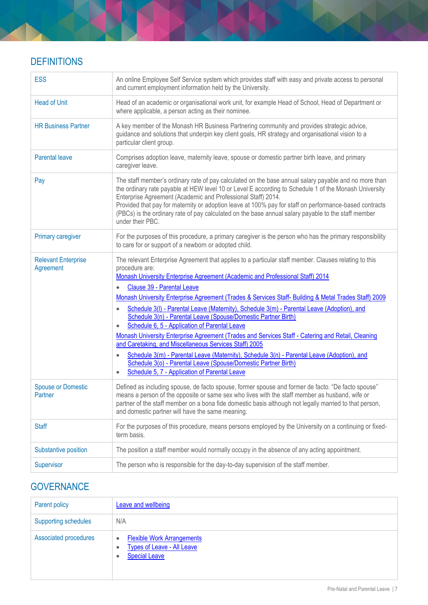# **DEFINITIONS**

| <b>ESS</b>                              | An online Employee Self Service system which provides staff with easy and private access to personal<br>and current employment information held by the University.                                                                                                                                                                                                                                                                                                                                                                                                                                                                                                                                                                                                                                                                                                                                                                                                                                  |
|-----------------------------------------|-----------------------------------------------------------------------------------------------------------------------------------------------------------------------------------------------------------------------------------------------------------------------------------------------------------------------------------------------------------------------------------------------------------------------------------------------------------------------------------------------------------------------------------------------------------------------------------------------------------------------------------------------------------------------------------------------------------------------------------------------------------------------------------------------------------------------------------------------------------------------------------------------------------------------------------------------------------------------------------------------------|
| <b>Head of Unit</b>                     | Head of an academic or organisational work unit, for example Head of School, Head of Department or<br>where applicable, a person acting as their nominee.                                                                                                                                                                                                                                                                                                                                                                                                                                                                                                                                                                                                                                                                                                                                                                                                                                           |
| <b>HR Business Partner</b>              | A key member of the Monash HR Business Partnering community and provides strategic advice,<br>guidance and solutions that underpin key client goals, HR strategy and organisational vision to a<br>particular client group.                                                                                                                                                                                                                                                                                                                                                                                                                                                                                                                                                                                                                                                                                                                                                                         |
| <b>Parental leave</b>                   | Comprises adoption leave, maternity leave, spouse or domestic partner birth leave, and primary<br>caregiver leave.                                                                                                                                                                                                                                                                                                                                                                                                                                                                                                                                                                                                                                                                                                                                                                                                                                                                                  |
| Pay                                     | The staff member's ordinary rate of pay calculated on the base annual salary payable and no more than<br>the ordinary rate payable at HEW level 10 or Level E according to Schedule 1 of the Monash University<br>Enterprise Agreement (Academic and Professional Staff) 2014.<br>Provided that pay for maternity or adoption leave at 100% pay for staff on performance-based contracts<br>(PBCs) is the ordinary rate of pay calculated on the base annual salary payable to the staff member<br>under their PBC.                                                                                                                                                                                                                                                                                                                                                                                                                                                                                 |
| <b>Primary caregiver</b>                | For the purposes of this procedure, a primary caregiver is the person who has the primary responsibility<br>to care for or support of a newborn or adopted child.                                                                                                                                                                                                                                                                                                                                                                                                                                                                                                                                                                                                                                                                                                                                                                                                                                   |
| <b>Relevant Enterprise</b><br>Agreement | The relevant Enterprise Agreement that applies to a particular staff member. Clauses relating to this<br>procedure are:<br>Monash University Enterprise Agreement (Academic and Professional Staff) 2014<br>Clause 39 - Parental Leave<br>$\bullet$<br>Monash University Enterprise Agreement (Trades & Services Staff- Building & Metal Trades Staff) 2009<br>Schedule 3(I) - Parental Leave (Maternity), Schedule 3(m) - Parental Leave (Adoption), and<br>$\bullet$<br>Schedule 3(n) - Parental Leave (Spouse/Domestic Partner Birth)<br>Schedule 6, 5 - Application of Parental Leave<br>Monash University Enterprise Agreement (Trades and Services Staff - Catering and Retail, Cleaning<br>and Caretaking, and Miscellaneous Services Staff) 2005<br>Schedule 3(m) - Parental Leave (Maternity), Schedule 3(n) - Parental Leave (Adoption), and<br>$\bullet$<br>Schedule 3(o) - Parental Leave (Spouse/Domestic Partner Birth)<br>Schedule 5, 7 - Application of Parental Leave<br>$\bullet$ |
| <b>Spouse or Domestic</b><br>Partner    | Defined as including spouse, de facto spouse, former spouse and former de facto. "De facto spouse"<br>means a person of the opposite or same sex who lives with the staff member as husband, wife or<br>partner of the staff member on a bona fide domestic basis although not legally married to that person,<br>and domestic partner will have the same meaning.                                                                                                                                                                                                                                                                                                                                                                                                                                                                                                                                                                                                                                  |
| <b>Staff</b>                            | For the purposes of this procedure, means persons employed by the University on a continuing or fixed-<br>term basis.                                                                                                                                                                                                                                                                                                                                                                                                                                                                                                                                                                                                                                                                                                                                                                                                                                                                               |
| Substantive position                    | The position a staff member would normally occupy in the absence of any acting appointment.                                                                                                                                                                                                                                                                                                                                                                                                                                                                                                                                                                                                                                                                                                                                                                                                                                                                                                         |
| Supervisor                              | The person who is responsible for the day-to-day supervision of the staff member.                                                                                                                                                                                                                                                                                                                                                                                                                                                                                                                                                                                                                                                                                                                                                                                                                                                                                                                   |

# **GOVERNANCE**

| Parent policy               | <b>Leave and wellbeing</b>                                                                                                    |  |
|-----------------------------|-------------------------------------------------------------------------------------------------------------------------------|--|
| <b>Supporting schedules</b> | N/A                                                                                                                           |  |
| Associated procedures       | <b>Flexible Work Arrangements</b><br>$\bullet$<br><b>Types of Leave - All Leave</b><br>$\bullet$<br><b>Special Leave</b><br>¢ |  |